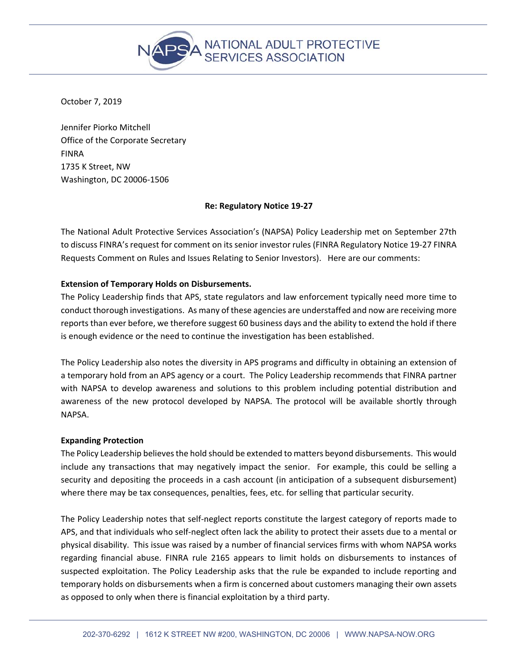

October 7, 2019

Jennifer Piorko Mitchell Office of the Corporate Secretary FINRA 1735 K Street, NW Washington, DC 20006‐1506

# **Re: Regulatory Notice 19‐27**

The National Adult Protective Services Association's (NAPSA) Policy Leadership met on September 27th to discuss FINRA's request for comment on its senior investor rules (FINRA Regulatory Notice 19‐27 FINRA Requests Comment on Rules and Issues Relating to Senior Investors). Here are our comments:

# **Extension of Temporary Holds on Disbursements.**

The Policy Leadership finds that APS, state regulators and law enforcement typically need more time to conduct thorough investigations. As many of these agencies are understaffed and now are receiving more reports than ever before, we therefore suggest 60 business days and the ability to extend the hold if there is enough evidence or the need to continue the investigation has been established.

The Policy Leadership also notes the diversity in APS programs and difficulty in obtaining an extension of a temporary hold from an APS agency or a court. The Policy Leadership recommends that FINRA partner with NAPSA to develop awareness and solutions to this problem including potential distribution and awareness of the new protocol developed by NAPSA. The protocol will be available shortly through NAPSA.

# **Expanding Protection**

The Policy Leadership believes the hold should be extended to matters beyond disbursements. This would include any transactions that may negatively impact the senior. For example, this could be selling a security and depositing the proceeds in a cash account (in anticipation of a subsequent disbursement) where there may be tax consequences, penalties, fees, etc. for selling that particular security.

The Policy Leadership notes that self-neglect reports constitute the largest category of reports made to APS, and that individuals who self‐neglect often lack the ability to protect their assets due to a mental or physical disability. This issue was raised by a number of financial services firms with whom NAPSA works regarding financial abuse. FINRA rule 2165 appears to limit holds on disbursements to instances of suspected exploitation. The Policy Leadership asks that the rule be expanded to include reporting and temporary holds on disbursements when a firm is concerned about customers managing their own assets as opposed to only when there is financial exploitation by a third party.